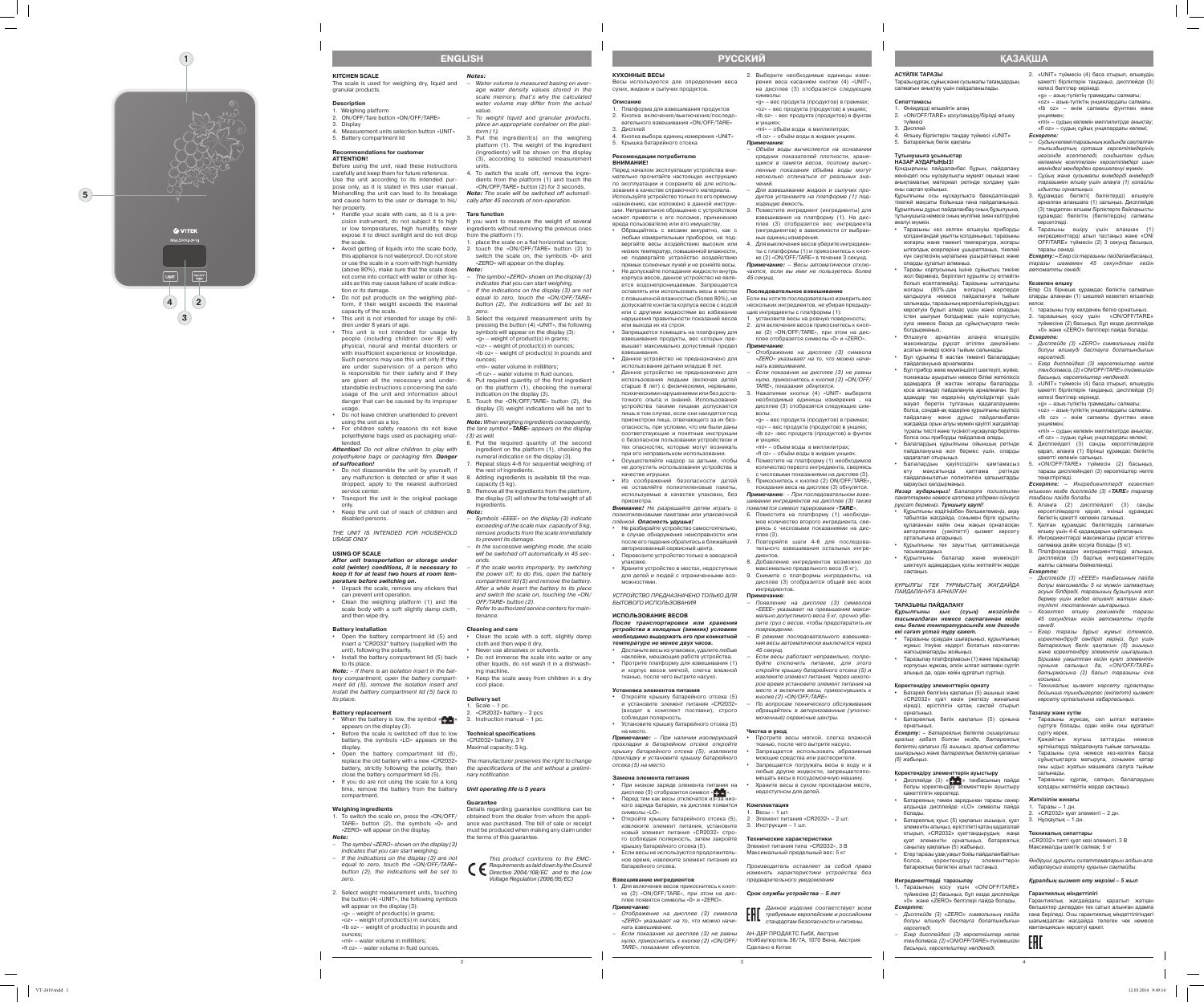2

3

4

**KITCHEN SCALE** 

The scale is used for weighing dry, liquid and granular products.

#### **Description** 1. Weighing platform

- 2. ON/OFF/Tare button «ON/OFF/TARE»
- 3. Display
- 4. Measurement units selection button «UNIT» 5. Battery compartment lid

### **Recommendations for customer**

**ATTENTION!** Before using the unit, read these instructions carefully and keep them for future reference. Use the unit according to its intended pur pose only, as it is stated in this user manual. Mishandling the unit can lead to its breakage and cause harm to the user or damage to his/ her property.

- Handle your scale with care, as it is a precision instrument, do not subject it to high or low temperatures, high humidity, never expose it to direct sunlight and do not drop the scale.
- • Avoid getting of liquids into the scale body, this appliance is not waterproof. Do not store or use the scale in a room with high humidity (above 80%), make sure that the scale does not come into contact with water or other liq uids as this may cause failure of scale indica -
- tion or its damage. • Do not put products on the weighing platform, if their weight exceeds the maximal
- capacity of the scale. • This unit is not intended for usage by chil- 3. Select the required measurement units by dren under 8 years of age.
- This unit is not intended for usage by people (including children over 8) with physical, neural and mental disorders or with insufficient experience or knowledge. Such persons may use this unit only if they are under supervision of a person who is responsible for their safety and if they are given all the necessary and under standable instructions concerning the safe usage of the unit and information about danger that can be caused by its improper usage.
- • Do not leave children unattended to prevent using the unit as a toy. • For children safety reasons do not leave
- polyethylene bags used as packaging unat tended. **Attention!** Do not allow children to play with

- Unpack the scale, remove any stickers that can prevent unit operation. • Clean the weighing platform (1) and the
- scale body with a soft slightly damp cloth, and then wipe dry.

- $\cdot$  Open the battery compartment lid (5) and insert a "CR2032" battery (supplied with the unit), following the polarity.
- Install the battery compartment lid (5) back to its place.

- When the battery is low, the symbol « $\uparrow$  +  $\downarrow$  » 3. Instruction manual 1 pc. appears on the display (3). Before the scale is switched off due to low battery, the symbols «LO» appears on the
- display. • Open the battery compartment lid (5), replace the old battery with a new «CR2032»
- battery, strictly following the polarity, then close the battery compartment lid (5). • If you do are not using the scale for a long
- time, remove the battery from the battery compartment.

polyethylene bags or packaging film. **Danger of suffocation!**

- • Do not disassemble the unit by yourself, if any malfunction is detected or after it was dropped, apply to the nearest authorized service center
- Transport the unit in the original package only. • Keep the unit out of reach of children and
- disabled persons. THE UNIT IS INTENDED FOR HOUSEHOLD

USAGE ONLY

#### **USING OF SCALE**

**After unit transportation or storage under cold (winter) conditions, it is necessary to keep it for at least two hours at room tem perature before switching on.**

place the scale on a flat horizontal surface; 2. touch the «ON/OFF/TARE» button (2) to switch the scale on, the symbols «0» and «ZERO» will appear on the display.

#### **Battery installation**

«ml»- water volume in milliliters; «fl oz» – water volume in fluid ounces. Put required quantity of the first ingredien on the platform (1), checking the numeral

**Note:** – If there is an isolation insert in the bat tery compartment, open the battery compart ment lid (5), remove the isolation insert and install the battery compartment lid (5) back to its place.

6. Put the required quantity of the second ingredient on the platform (1), checking the numeral indication on the display (3). Repeat steps 4-6 for sequential weighing of

#### **Battery replacement**

If the scale works improperly, try switching the power off; to do this, open the battery compartment lid (5) and remove the battery. After a while insert the battery to its place and switch the scale on, touching the «ON/

cloth and then wipe it dry. Never use abrasives or solvents

«CR2032» battery  $-2$  pcs

#### **Weighing ingredients**

Do not immerse the scale into water or any other liquids, do not wash it in a dishwash -

Keep the scale away from children in a dry

cool place. **Delivery set** . Scale  $-1$  pc.

- 1. To switch the scale on, press the «ON/OFF/ TARE» button (2), the symbols «0» and «ZERO» will appear on the display.
- **Note:** – The symbol «ZERO» shown on the display (3)
- indicates that you can start weighing. – If the indications on the display (3) are not equal to zero, touch the «ON/OFF/TARE» button (2), the indications will be set to zero.
- 2. Select weight measurement units, touching the button (4) «UNIT», the following symbols will appear on the display (3):  $\alpha$ <sub>»</sub> – weight of product(s) in grams «oz» – weight of product(s) in ounces; «lb oz» – weight of product(s) in pounds and
- ounces;

«ml» – water volume in milliliters; «fl oz» – water volume in fluid ounces.

**Notes:**

– Water volume is measured basing on aver

-

age water density values stored in the scale memory, that's why the calculated water volume may differ from the actual

value.

form (1).

3. Put the ingredient(s) on the weighing platform (1). The weight of the ingredient (ingredients) will be shown on the display (3), according to selected measurement

units.

4. To switch the scale off, remove the ingre dients from the platform (1) and touch the «ON/OFF/TARE» button (2) for 3 seconds. **Note:** The scale will be switched off automati cally after 45 seconds of non-operation.

**Tare function**

If you want to measure the weight of several ingredients without removing the previous ones

from the platform (1):

**Note:**

– The symbol «ZERO» shown on the display (3) indicates that you can start weighing. If the indications on the display (3) are not equal to zero, touch the «ON/OFF/TARE» button (2), the indications will be set to

zero.

pressing the button (4) «UNIT», the following symbols will appear on the display (3):  $\alpha$ » – weight of product(s) in grams; «oz» – weight of product(s) in ounces; «lb oz» – weight of product(s) in pounds and

ounces;

indication on the display (3).

5. Touch the «ON/OFF/TARE» button (2), the display (3) weight indications will be set to

zero.

**Note:** When weighing ingredients consequently, the tare symbol «**TARE**» appears on the display

(3) as well.

- дисплее (3) отобразится символ « + ». • Перед тем как весы отключатся из-за низкого заряда батареи, на дисплее появится
- новый элемент питания «CR2032» стро -
- Если весы не используются продолжительбатарейного отсека.
- 
- 
- нать взвешивание. – Если показания на дисплее (3) не равны нулю, прикоснитесь к кнопке (2) «ON/OFF/ TARE», показания обнулятся.

the rest of ingredients.

to prevent its damage

8. Adding ingredients is available till the max.

capacity (5 kg).

- To weight liquid and granular products, place an appropriate container on the plat - 1. Платформа для взвешивания продуктов 2. Кнопка включения/выключения/последо вательного взвешивания «ON/OFF/TARE» 3. Дисплей
	- 4. Кнопка выбора единиц измерения «UNIT» 5. Крышка батарейного отсека

9. Remove all the ingredients from the platform, the display (3) will show the total weight of all

ingredients.

**Note:**

– Symbols «EEEE» on the display (3) indicate exceeding of the scale max. capacity of 5 kg, remove products from the scale immediately

– In the successive weighing mode, the scale will be switched off automatically in 45 sec -

onds.

OFF/TARE» button (2).

– Refer to authorized service centers for main -

• Clean the scale with a soft, slightly damp

tenance. **Cleaning and care**

ing machine.

**Technical specifications** «CR2032» battery, 3 V Maximal capacity: 5 kg.

nary notification.

**Unit operating life is 5 years**

**Guarantee**

obtained from the dealer from whom the appli ance was purchased. The bill of sale or receipt must be produced when making any claim under

the terms of this guarantee.

This product conforms to the EMC-Requirements as laid down by the Council Directive 2004/108/EC and to the Low Voltage Regulation (2006/95/ЕС)

- Протрите весы мягкой, слегка влажной тканью, после чего вытрите насухо. Запрешается использовать абразивные
- моющие средства или растворители. Запрещается погружать весы в воду и в
- любые другие жидкости, запрещаетсяпо мещать весы в посудомоечную машину.
- недоступном для детей.



**КУХОННЫЕ ВЕСЫ** 

Весы используются для определения веса сухих, жидких и сыпучих продуктов.

### **Описание**

#### **Рекомендации потребителю ВНИМАНИЕ!**

Перед началом эксплуатации устройства вни мательно прочитайте настоящую инструкцию по эксплуатации и сохраните её для исполь зования в качестве справочного материала. Используйте устройство только по его прямому назначению, как изложено в данной инструк ции. Неправильное обращение с устройством

> Таразы корпусының ішіне сұйықтың тиюіне жол бермеңіз, берілгент құрылғы су өтпейтін болып есептелмейді. Таразыны ылғалдығы жоғары (80%-дан жоғары) жерлерде қалдыруға немесе пайдалануға тыйым салынады, таразыныңкөрсеткіштерініңдұрыс көрсетуін бұзып алмас үшін және олардың істен шығуын болдырмас үшін корпустың суға немесе басқа да сұйықтықтарға тиюін

> Балалардың қауіпсіздігін қамтамасыз ету мақсатында қаптама ретінде пайдаланылатын полиэтилен қапшықтарды

> Құрылғыны өздігіңізбен бөлшектемеңіз, ақау табылған жағдайда, сонымен бірге құрылғы құлағаннан кейін оны жақын орналасқан авторланған (уәкілетті) қызмет көрсету

> Құрылғыны тек зауыттық қаптамасында

- может привести к его поломке, причинению вреда пользователю или его имуществу. Обращайтесь с весами аккуратно, как с любым измерительным прибором, не под вергайте весы воздействию высоких или низких температур, повышенной влажности, не подвергайте устройство воздействию
- прямых солнечных лучей и не роняйте весы. Не допускайте попадания жидкости внутрь корпуса весов, данное устройство не явля ется водонепроницаемым. Запрещается оставлять или использовать весы в местах с повышенной влажностью (более 80%), не допускайте контакта корпуса весов с водой или с другими жидкостями во избежание нарушения правильности показаний весов **Примечание:**  – Весы автоматически отклю чаются, если вы ими не пользуетесь более 45 секунд. **Последовательное взвешивание** Если вы хотите последовательно измерить вес нескольких ингредиентов, не убирая предыду щие ингредиенты с платформы (1): 1. установите весы на ровную поверхность;
- или выхода их из строя. Запрешается помещать на платформу для взвешивания продукты, вес которых пре вышает максимально допустимый предел взвешивания.
- Данное устройство не предназначено для использования детьми младше 8 лет. • Ланное устройство не предназначено для использования людьми (включая детей старше 8 лет) с физическими, нервными, психическими нарушениями или без доста точного опыта и знаний. Использование
- устройства такими лицами допускается лишь в том случае, если они находятся под присмотром лица, отвечающего за их без опасность, при условии, что им были даны соответствующие и понятные инструкции о безопасном пользовании устройством и тех опасностях, которые могут возникать
- при его неправильном использовании. Осуществляйте надзор за детьми, чтобы не допустить использования устройства в качестве игрушки.
- Из соображений безопасности детей не оставляйте полиэтиленовые пакеты, используемые в качестве упаковки, без присмотра. **Внимание!** Не разрешайте детям играть с

Таразыны ораудан шығарыныз, құрылғынын жұмыс ітеуіне кедергі болатын кез-келген

- The manufacturer preserves the right to change the specifications of the unit without a prelimi - Details regarding guarantee conditions can be отсека (5) на место. **Замена элемента питания** • При низком заряде элемента питания на
	- символы «LO». Откройте крышку батарейного отсека (5), извлеките элемент питания, установите
	- го соблюдая полярность, затем закройте крышку батарейного отсека (5). ное время, извлеките элемент питания из

Батареяның төмен зарядынан таразы сөнер алдында дисплейде «LO» символы пайда

Егер таразы узак уақыт бойы пайдаланбайтын болса, қоректендіру элементтерін батареялық бөліктен алып тастаңыз.

полиэтиленовыми пакетами или упаковочной плёнкой. **Опасность удушья!**

- • Не разбирайте устройство самостоятельно, в случае обнаружения неисправности или после его падения обратитесь в ближайший авторизованный сервисный центр. Перевозите устройство только в заводской
- упаковке. Храните устройство в местах, недоступных для детей и людей с ограниченными воз можностями.

#### УСТРОЙСТВО ПРЕДНАЗНАЧЕНО ТОЛЬКО ДЛЯ БЫТОВОГО ИСПОЛЬЗОВАНИЯ

### **ИСПОЛЬЗОВАНИЕ ВЕСОВ**

**После транспортировки или хранения устройства в холодных (зимних) условиях необходимо выдержать его при комнатной температуре не менее двух часов.**

- • Достаньте весы из упаковки, удалите любые .<br>наклейки, мешающие работе устройства. • Протрите платформу для взвешивания (1)
- и корпус весов мягкой, слегка влажной тканью, после чего вытрите насухо.

## **Установка элементов питания**

• Откройте крышку батарейного отсека (5) и установите элемент питания «CR2032» (входит в комплект поставки), строго соблюдая полярность.

#### • Установите крышку батарейного отсека (5) на место.

**Примечание:**  – При наличии изолирующей прокладки в батарейном отсеке откройте крышку батарейного отсека (5), извлеките прокладку и установите крышку батарейного

- таразыны түзу көлденең бетке орнатыңыз. 2. таразының қосу үшін «ON/OFF/TARE» түймесіне (2) басыңыз, бұл кезде дисплейде «0» және «ZERO» белгілері пайда болады.
- *Ескертпе:* – *Дисплейде (3) «ZERO» символының пайда болуы өлшеуді бастауға болатындығын көрсетеді.*
- *Егер дисплейдегі (3) көрсеткіштер нөлге тең болмаса, (2) «ON/OFF/TARE» түймешігін басыңыз, көрсеткіштер нөлденеді.*
- 3. «UNIT» түймесін (4) баса отырып, өлшеудің қажетті бірліктерін таңдаңыз, дисплейде (3) келесі белгілер көрінеді.
- «g» азық-түліктің граммдағы салмағы; «oz» – азық-түліктің унциялардағы салмағы.
- «lb oz» өнім салмағы фунтпен және унциямен; «ml» – судың көлемін миллилитрде анықтау;
- «fl oz» судың сұйық унцялардағы көлемі; 4. Дисплейдегі (3) санды көрсетілімдерге қарап, алаңға (1) бірінші құрамдас бөліктің
- қажетті көлемін салыңыз. 5. «ON/OFF/TARE» түймесін (2) басыңыз, таразы дисплейіндегі (3) көрсеткіштер нөлге теңестіріледі.
- *Ескертпе: Ингредиенттерді кезектеп өлшеген кезде дисплейде (3) «TARE» таралау таңбасы пайда болады.*
- 6. Алаңға (2) дисплейдегі (3) санды көрсетілімдерге қарап, екінші құрамдас бөліктің қажетті көлемін салыңыз.

**Взвешивание ингредиентов**

Таразыны жұмсақ, сәл ылғал матамен сүртуге болады, одан кейін оны құрғатып

# 1. Для включения весов прикоснитесь к кноп -

- ке (2) «ON/OFF/TARE», при этом на дис плее появятся символы «0» и «ZERO». **Примечание**: – Отображение на дисплее (3) символа
	- «ZERO» указывает на то, что можно начи -

Таразыны құрғақ, салқын, балалардың қолдары жетпейтін жерде сақтаңыз.

- символы:
- и унциях;
- 
- 
- 
- «g» вес продукта (продуктов) в граммах; «oz» – вес продукта (продуктов) в унциях; «lb oz» – вес продукта (продуктов) в фунтах
- «ml» объём воды в миллилитрах; «fl oz» – объём воды в жидких унциях.
- **Примечания**: Объём воды вычисляется на основании средних показателей плотности, храня щихся в памяти весов, поэтому вычис ленные показания объёма воды могут несколько отличаться от реальных значений.
- Для взвешивания жидких и сыпучих про дуктов установите на платформе (1) под ходящую ёмкость.
- 3. Поместите ингредиент (ингредиенты) для взвешивания на платформу (1). На дис плее (3) отобразится вес ингредиента (ингредиентов) в зависимости от выбран ных единиц измерения.
- 4. Для выключения весов уберите ингредиен ты с платформы (1) и прикоснитесь к кноп ке (2) «ON/OFF/TARE» в течение 3 секунд.

- 2. для включения весов прикоснитесь к кноп ке (2) «ON/OFF/TARE», при этом на дис плее отобразятся символы «0» и «ZERO».
- **Примечание**: Отображение на дисплее (3) символа «ZERO» указывает на то, что можно начи -
- нать взвешивание. – Если показания на дисплее (3) не равны нулю, прикоснитесь к кнопке (2) «ON/OFF/
- TARE», показания обнулятся. Нажатиями кнопки (4) «UNIT» выберите необходимые единицы измерения , на дисплее (3) отобразятся следующие сим -
- волы: «g» – вес продукта (продуктов) в граммах; «oz» – вес продукта (продуктов) в унциях; «lb oz» -вес продукта (продуктов) в фунтах и унциях;
- «ml» объем воды в миллилитрах; «fl oz» – объём воды в жидких унциях.
- 4. Поместите на платформу (1) необходимое количество первого ингредиента, сверяясь с числовыми показаниями на дисплее (3).
- 5. Прикоснитесь к кнопке (2) ON/OFF/TARE», показания веса на дисплее (3) обнулятся. **Примечание**: - При последовательном взве-
- шивании ингредиентов на дисплее (3) также появляется символ тарирования «**TARE**». 6. Поместите на платформу (1) необходи-
- мое количество второго ингредиента, сверяясь с числовыми показаниями на дисплее (3).
- 7. Повторяйте шаги 4-6 для последовательного взвешивания остальных ингредиентов.
- 8. Добавление ингредиентов возможно до максимально предельного веса (5 кг).
- дисплее (3) отобразится общий вес всех

2. Выберите необходимые единицы изме рения веса касанием кнопки (4) «UNIT», на дисплее (3) отобразятся следующие **АСҮЙЛІК ТАРАЗЫ**  Таразы құрғақ, сұйықжәне сусымалы тағамдардың салмағын анықтау үшін пайдаланылады.

## ингредиентов.

- 
- 
- - 9. Снимите с платформы ингредиенты, на
	- **Примечание** :
	- рите груз с весов, чтобы предотвратить их повреждение.
	- 45 секунд.
	- буйте отключить питание, для этого откройте крышку батарейного отсека (5) и извлеките элемент питания. Через некото рое время установите элемент питания на место и включите весы, прикоснувшись к
	- По вопросам технического обслуживания обращайтесь в авторизованные (уполно моченные) сервисные центры.
- Появление на дисплее (3) символов «EEEE» указывает на превышение макси мально допустимого веса 5 кг, срочно убе -
- В режиме последовательного взвешива ния весы автоматически выключатся через
- Если весы работают неправильно, попро -
- кнопке (2) «ON/OFF/TARE».
- 

#### **Чистка и уход**

- 
- 
- • Храните весы в сухом прохладном месте,
- **Комплектация**

## 1. Весы – 1 шт.

2. Элемент питания «CR2032» – 2 шт. 3. Инструкция – 1 шт.

## **Технические характеристики**

Элемент питания типа «CR2032», 3 В Максимальный предельный вес: 5 кг

### Производитель оставляет за собой право изменять характеристики устройства без

предварительного уведомления

### **Срок службы устройства – 5 лет**

#### Данное изделие соответствует всем EAC требуемым европейским и российским

стандартам безопасности и гигиены.

АН-ДЕР ПРОДАКТС ГмбХ, Австрия Нойбаугюртель 38/7А, 1070 Вена, Австрия

Сделано в Китае

## **русски й**

**Сипаттамасы**

1. Өнімдерді өлшейтін алаң

2. «ON/OFF/TARE» қосу/сөндіру/бірізді өлшеу

түймесі 3. Дисплей

4. Өлшеу бірліктерін таңдау түймесі «UNIT»

5. Батареялық бөлік қақпағы **Тұтынушыға ұсыныстар НАЗАР АУДАРЫҢЫЗ!**

Қондырғыны пайдаланбас бұрын, пайдалану жөніндегі осы нұсқаулықты мұқият оқыңыз және анықтамалық материал ретінде қолдану үшін

оны сақтап қойыңыз.

Құрылғыны осы нұсқаулықта баяндалғандай тікелей мақсаты бойынша ғана пайдаланыңыз. Құрылғыны дұрыс пайдаланбау оның бұзылуына, тұтынушыға немесе оның мүлігіне зиян келтіруіне

әкелуі мүмкін.

• Таразыны кез келген өлшеуіш приборды қолданғандай ұқыпты қолданыңыз, таразыны жоғарғы және төменгі температура, жоғары ылғалдық әсерлеріне ұшыратпаңыз, тікелей күн сәулесінің ықпалына ұшыратпаңыз және

оларды құлатып алмаңыз.

болдырмаңыз.

• Өлшеуге арналған алаңға өлшеудің максималды рұқсат етілген деңгейінен асатын өнімді қоюға тыйым салынады. • Бұл құрылғы 8 жастан төменгі балалардың

пайдалануына арналмаған.

• Бұл прибор жеке мүмкіншілігі шектеулі, жүйке, психикасы ауыратын немесе білімі жеткіліксіз адамдарға (8 жастан жоғары балаларды қоса алғанда) пайдалануға арналмаған. Бұл адамдар тек өздерінің қауіпсіздіктері үшін жауап беретін тұлғаның қадағалауымен болса, сондай-ақ өздеріне құрылғыны қауіпсіз пайдалану және дұрыс пайдаланбаған жағдайда орын алуы мүмкін қауіпті жағдайлар туралы тиісті және түсінікті нұсқаулар берілген болса осы приборды пайдалана алады. • Балалардың құрылғыны ойыншық ретінде пайдалануына жол бермес үшін, оларды

қадағалап отырыңыз.

қараусыз қалдырмаңыз.

*Назар аударыңыз! Балаларға полиэтилен пакеттермен немесе қаптама үлдірмен ойнауға* 

*рұқсат бермеңіз. Тұншығу қаупі!*

орталығына апарыңыз.

тасымалдаңыз.

• Құрылғыны балалар және мүмкіндігі шектеулі адамдардың қолы жетпейтін жерде

сақтаңыз.

*ҚҰРЫЛҒЫ ТЕК ТҰРМЫСТЫҚ ЖАҒДАЙДА* 

*ПАЙДАЛАНУҒА АРНАЛҒАН* **ТАРАЗЫНЫ ПАЙДАЛАНУ**

*Құрылғыны қыс (суық) мезгілінде тасымалдаған немесе сақтағаннан кейін оны бөлме температурасында кем дегенде* 

*екі сағат ұстай тұру қажет.*

жапсырмаларды жойыңыз.

• Таразылау платформасын (1) және таразылар корпусын жұмсақ, әлсін ылғал матамен сүртіп алыңыз да, одан кейін құрғатып сүртіңіз.

**Қоректендіру элементтерін орнату**

• Батарей бөлігінің қақпағын (5) ашыңыз және «CR2032» қуат көзін (жеткізу жинағына кіреді), өрістілігін қатаң сақтай отырып

орнатыңыз.

• Батареялық бөлік қақпағын (5) орнына

орнатыңыз.

*Ескерту: – Батареялық бөлікте оқшаулағыш аралық қабат болған кезде, батареялық бөліктің қапағын (5) ашыңыз, аралық қабатты шығарыңыз және батареялық бөліктің қапағын* 

*(5) жабыңыз.*

**Қоректендіру элементтерін ауыстыру** • Дисплейде (3) « + + » таңбасының пайда болуы қоректендіру элементтерін ауыстыру

қажеттілігін көрсетеді.

болады.

• Батареялық қуыс (5) қақпағын ашыңыз, қуат элементін алыңыз, өрістілікті қатаң қадағалай отырып, «CR2032» қуаттандырудың жаңа қуат элементін орнатыңыз, батареялық

саңылау қақпағын (5) жабыңыз.

**Ингредиенттерді таразылау**

1. Таразының қосу үшін «ON/OFF/TARE» түймесіне (2) басыңыз, бұл кезде дисплейде «0» және «ZERO» белгілері пайда болады.

*Ескертпе:*

– *Дисплейде (3) «ZERO» символының пайда болуы өлшеуді бастауға болатындығын* 

*көрсетеді.*

– *Егер дисплейдегі (3) көрсеткіштер нөлге тең болмаса, (2) «ON/OFF/TARE» түймешігін басыңыз, көрсеткіштер нөлденеді.*

#### 2. «UNIT» түймесін (4) баса отырып, өлшеудің қажетті бірліктерін таңдаңыз, дисплейде (3) келесі белгілер көрінеді.

- «g» азық-түліктің граммдағы салмағы; «oz» – азық-түліктің унциялардағы салмағы. «lb oz» – өнім салмағы фунтпен және
- унциямен; «ml» – судың көлемін миллилитрде анықтау;
- «fl oz» судың сұйық унцялардағы көлемі; *Ескертпе:* – *Судың көлемі таразының жадында сақталған*
- *тығыздықтың орташа көрсетілімдерінің негізінде есептеледі, сондықтан судың көлемінің есептелген көрсетілімдері шын мәніндегі мәндерден ерекшеленуі мүмкін.* – *Сұйық және сусымалы өнімдерді өнімдерді таразымен өлшеу үшін алаңға (1) қолайлы*
- *ыдысты орнатыңыз.* 3. Құрамдас бөлікті( бөліктерді) өлшеуге арналған алаңшаға (1) салыңыз. Дисплейде (3) таңдалған өлшем бірліктерге байланысты құрамдас бөліктің (бөліктердің) салмағы
- көрсетіледі. 4. Таразыны өшіру үшін алаңнан (1) ингредиенттерді алып тастаңыз және «ON/ OFF/TARE» түймесін (2) 3 секунд басыңыз, таразы сөнеді.

*Ескерту: – Егер сіз таразыны пайдаланбасаңыз, таразы шамамен 45 секундтан кейін автоматты сөнеді* .

### **Кезекпен өлшеу**

Егер Сіз бірнеше құрамдас бөліктің салмағын оларды алаңнан (1) шешпей кезектеп өлшегіңіз келсе:

7. Қалған құрамдас бөліктердің салмағын өлшеу үшін 4-6 қадамдарын қайталаңыз. 8. Ингредиенттерді максималды рұқсат етілген салмаққа дейін қосуға болады (5 кг). 9. Платформадан ингредиенттерді алыңыз, дисплейде (3) барлық ингредиенттердің

жалпы салмағы бейнеленеді.

*Ескертпе:*

– *Дисплейде (3) «EEEE» таңбасының пайда болуы максималды 5 кг мүмкін салмақтың асуын білдіреді, таразының бұзылуына жол бермеу үшін жедел өлшеніп жатқан азықтүлікті тостағаннан шығарыңыз.* – *Кезектеп өлшеу режимінде таразы 45 секундтан кейін автоматты түрде* 

*сөнеді.* 

– *Егер таразы дұрыс жұмыс істемесе, қоректендіруді сөндіріп көріңіз, бұл үшін батареялық бөлік қақпағын (5) ашыңыз және қоректендіру элементін шығарыңыз. Біршама уақыттан кейін қуат элеменг орнына салыңыз да, «ON/OFF/TARE» батырмасына (2) басып таразыны іске* 

*қосыңыз.*

– *Техникалық қызмет көрсету сұрақтары бойынша туындыгерлес (өкілетті) қызмет көрсету орталығына хабарласыңыз.*

**Тазалау және күтім**

сүрту керек.

• Қажайтын жуғыш заттарды немесе еріткіштерді пайдалануға тыйым салынады. Таразыны суға немесе кез-келген басқа сұйықтықтарға матыруға, сонымен қатар оны ыдыс жуатын машинаға салуға тыйым

салынады.

**Жеткізілім жинағы** 1. Таразы – 1 дн.

2. «CR2032» қуат элементі – 2 дн.

3. Нұсқаулық – 1 дн. **Техникалық сипаттары**

«CR2032» типті қуат көзі элементі, 3 В Максималды шектік салмақ: 5 кг

*Өндіруші құрылғы сипаттамаларын алдын-ала хабарлаусыз өзгерту құқығын сақтайды. Құралдың қызмет ету мерзімі – 5 жыл*

**Гарантиялық мiндеттiлiгi**

Гарантиялық жағдайдағы қаралып жатқан бөлшектер дилерден тек сатып алынған адамға ғана берiледi. Осы гарантиялық мiндеттiлiгiндегi шағымдалған жағдайда төлеген чек немесе

квитанциясын көрсетуi қажет.